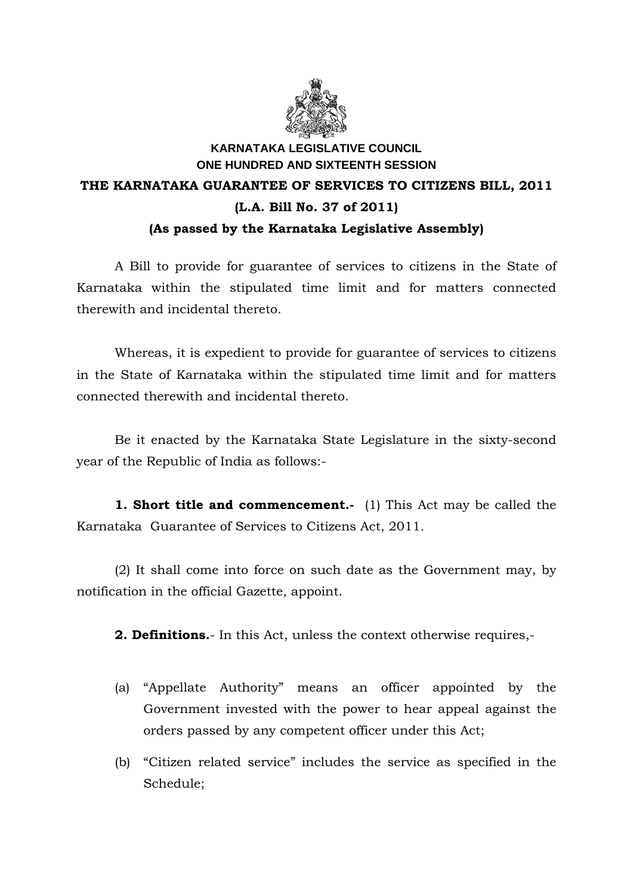

## **KARNATAKA LEGISLATIVE COUNCIL ONE HUNDRED AND SIXTEENTH SESSION THE KARNATAKA GUARANTEE OF SERVICES TO CITIZENS BILL, 2011 (L.A. Bill No. 37 of 2011) (As passed by the Karnataka Legislative Assembly)**

 A Bill to provide for guarantee of services to citizens in the State of Karnataka within the stipulated time limit and for matters connected therewith and incidental thereto.

 Whereas, it is expedient to provide for guarantee of services to citizens in the State of Karnataka within the stipulated time limit and for matters connected therewith and incidental thereto.

Be it enacted by the Karnataka State Legislature in the sixty-second year of the Republic of India as follows:-

**1. Short title and commencement.** (1) This Act may be called the Karnataka Guarantee of Services to Citizens Act, 2011.

 (2) It shall come into force on such date as the Government may, by notification in the official Gazette, appoint.

**2. Definitions.**- In this Act, unless the context otherwise requires,-

- (a) "Appellate Authority" means an officer appointed by the Government invested with the power to hear appeal against the orders passed by any competent officer under this Act;
- (b) "Citizen related service" includes the service as specified in the Schedule;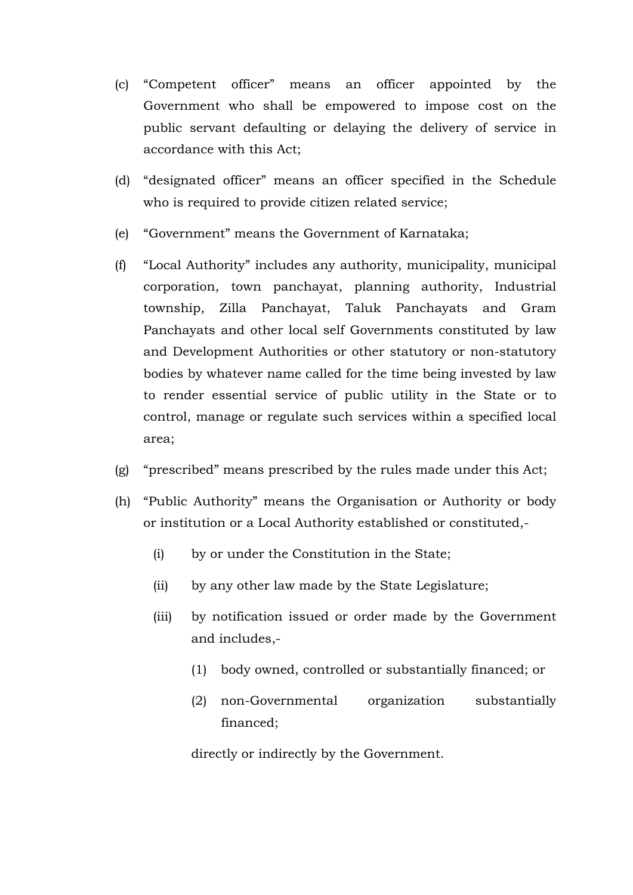- (c) "Competent officer" means an officer appointed by the Government who shall be empowered to impose cost on the public servant defaulting or delaying the delivery of service in accordance with this Act;
- (d) "designated officer" means an officer specified in the Schedule who is required to provide citizen related service;
- (e) "Government" means the Government of Karnataka;
- (f) "Local Authority" includes any authority, municipality, municipal corporation, town panchayat, planning authority, Industrial township, Zilla Panchayat, Taluk Panchayats and Gram Panchayats and other local self Governments constituted by law and Development Authorities or other statutory or non-statutory bodies by whatever name called for the time being invested by law to render essential service of public utility in the State or to control, manage or regulate such services within a specified local area;
- (g) "prescribed" means prescribed by the rules made under this Act;
- (h) "Public Authority" means the Organisation or Authority or body or institution or a Local Authority established or constituted,-
	- (i) by or under the Constitution in the State;
	- (ii) by any other law made by the State Legislature;
	- (iii) by notification issued or order made by the Government and includes,-
		- (1) body owned, controlled or substantially financed; or
		- (2) non-Governmental organization substantially financed;

directly or indirectly by the Government.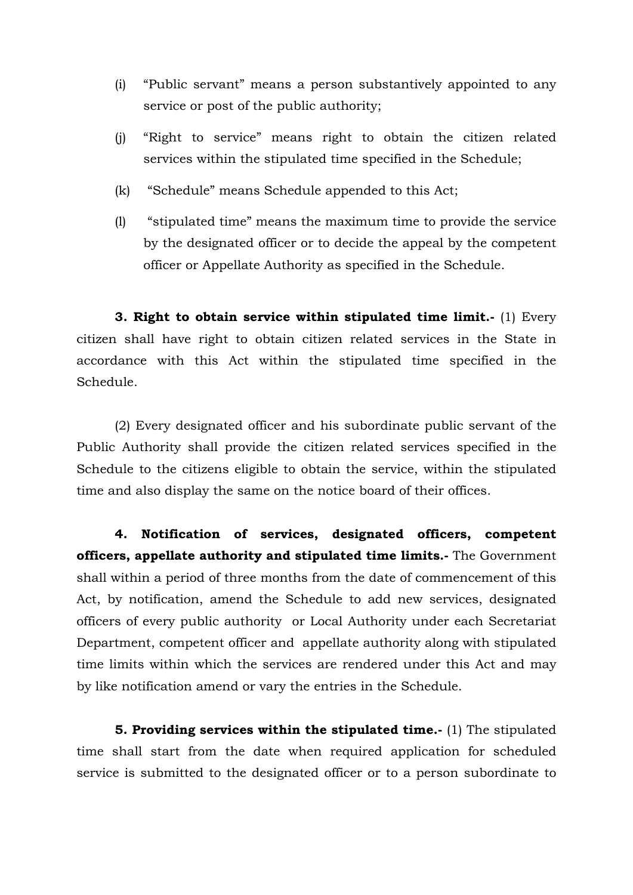- (i) "Public servant" means a person substantively appointed to any service or post of the public authority;
- (j) "Right to service" means right to obtain the citizen related services within the stipulated time specified in the Schedule;
- (k) "Schedule" means Schedule appended to this Act;
- (l) "stipulated time" means the maximum time to provide the service by the designated officer or to decide the appeal by the competent officer or Appellate Authority as specified in the Schedule.

**3. Right to obtain service within stipulated time limit.-** (1) Every citizen shall have right to obtain citizen related services in the State in accordance with this Act within the stipulated time specified in the Schedule.

(2) Every designated officer and his subordinate public servant of the Public Authority shall provide the citizen related services specified in the Schedule to the citizens eligible to obtain the service, within the stipulated time and also display the same on the notice board of their offices.

 **4. Notification of services, designated officers, competent officers, appellate authority and stipulated time limits.-** The Government shall within a period of three months from the date of commencement of this Act, by notification, amend the Schedule to add new services, designated officers of every public authority or Local Authority under each Secretariat Department, competent officer and appellate authority along with stipulated time limits within which the services are rendered under this Act and may by like notification amend or vary the entries in the Schedule.

**5. Providing services within the stipulated time.-** (1) The stipulated time shall start from the date when required application for scheduled service is submitted to the designated officer or to a person subordinate to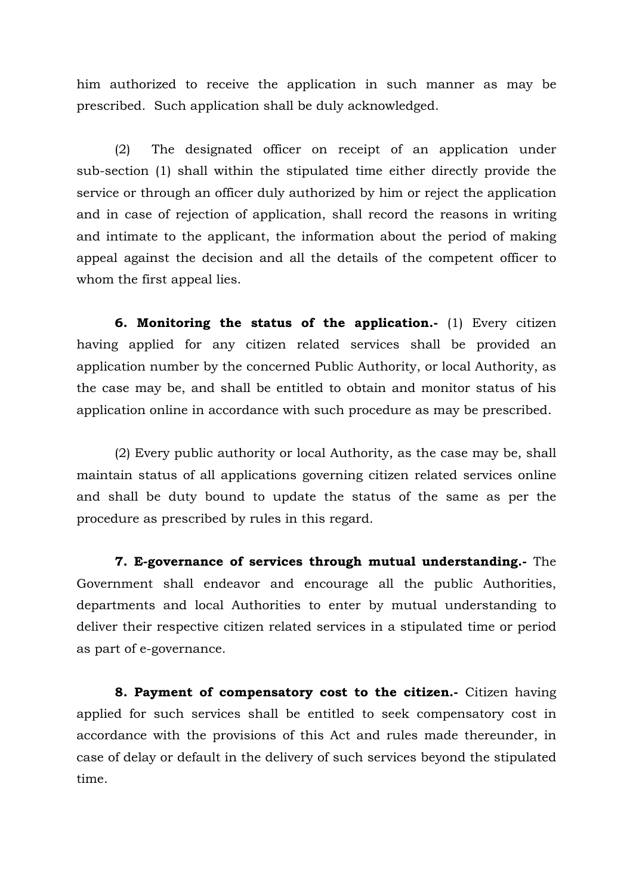him authorized to receive the application in such manner as may be prescribed. Such application shall be duly acknowledged.

 (2) The designated officer on receipt of an application under sub-section (1) shall within the stipulated time either directly provide the service or through an officer duly authorized by him or reject the application and in case of rejection of application, shall record the reasons in writing and intimate to the applicant, the information about the period of making appeal against the decision and all the details of the competent officer to whom the first appeal lies.

**6. Monitoring the status of the application.-** (1) Every citizen having applied for any citizen related services shall be provided an application number by the concerned Public Authority, or local Authority, as the case may be, and shall be entitled to obtain and monitor status of his application online in accordance with such procedure as may be prescribed.

 (2) Every public authority or local Authority, as the case may be, shall maintain status of all applications governing citizen related services online and shall be duty bound to update the status of the same as per the procedure as prescribed by rules in this regard.

**7. E-governance of services through mutual understanding.-** The Government shall endeavor and encourage all the public Authorities, departments and local Authorities to enter by mutual understanding to deliver their respective citizen related services in a stipulated time or period as part of e-governance.

 **8. Payment of compensatory cost to the citizen.-** Citizen having applied for such services shall be entitled to seek compensatory cost in accordance with the provisions of this Act and rules made thereunder, in case of delay or default in the delivery of such services beyond the stipulated time.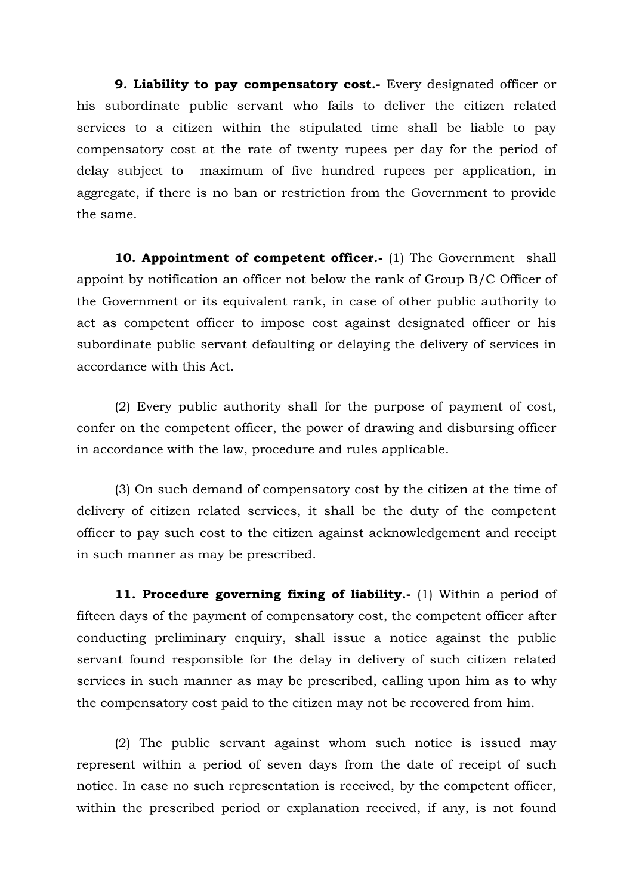**9. Liability to pay compensatory cost.** Every designated officer or his subordinate public servant who fails to deliver the citizen related services to a citizen within the stipulated time shall be liable to pay compensatory cost at the rate of twenty rupees per day for the period of delay subject to maximum of five hundred rupees per application, in aggregate, if there is no ban or restriction from the Government to provide the same.

**10. Appointment of competent officer.**- (1) The Government shall appoint by notification an officer not below the rank of Group B/C Officer of the Government or its equivalent rank, in case of other public authority to act as competent officer to impose cost against designated officer or his subordinate public servant defaulting or delaying the delivery of services in accordance with this Act.

(2) Every public authority shall for the purpose of payment of cost, confer on the competent officer, the power of drawing and disbursing officer in accordance with the law, procedure and rules applicable.

(3) On such demand of compensatory cost by the citizen at the time of delivery of citizen related services, it shall be the duty of the competent officer to pay such cost to the citizen against acknowledgement and receipt in such manner as may be prescribed.

**11. Procedure governing fixing of liability.**- (1) Within a period of fifteen days of the payment of compensatory cost, the competent officer after conducting preliminary enquiry, shall issue a notice against the public servant found responsible for the delay in delivery of such citizen related services in such manner as may be prescribed, calling upon him as to why the compensatory cost paid to the citizen may not be recovered from him.

(2) The public servant against whom such notice is issued may represent within a period of seven days from the date of receipt of such notice. In case no such representation is received, by the competent officer, within the prescribed period or explanation received, if any, is not found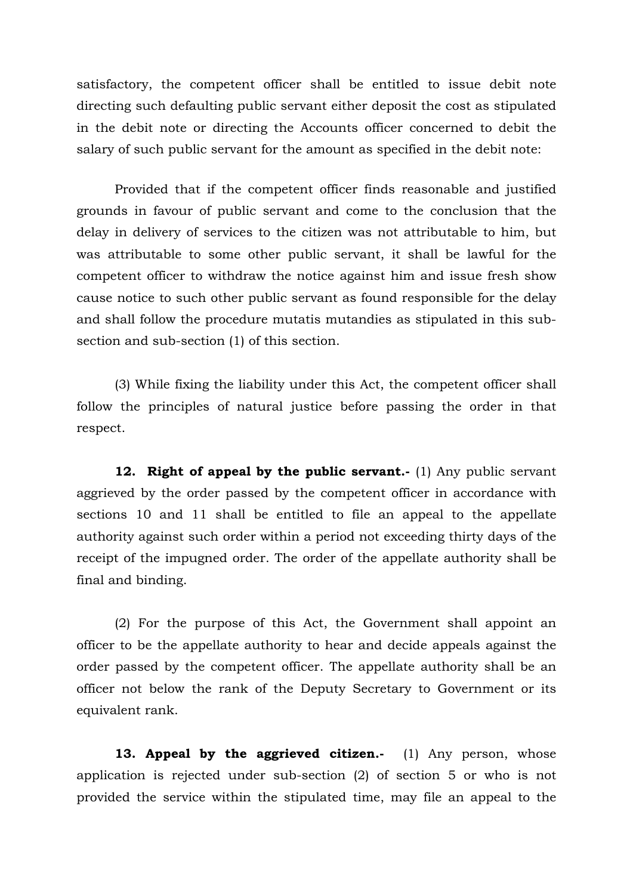satisfactory, the competent officer shall be entitled to issue debit note directing such defaulting public servant either deposit the cost as stipulated in the debit note or directing the Accounts officer concerned to debit the salary of such public servant for the amount as specified in the debit note:

Provided that if the competent officer finds reasonable and justified grounds in favour of public servant and come to the conclusion that the delay in delivery of services to the citizen was not attributable to him, but was attributable to some other public servant, it shall be lawful for the competent officer to withdraw the notice against him and issue fresh show cause notice to such other public servant as found responsible for the delay and shall follow the procedure mutatis mutandies as stipulated in this subsection and sub-section (1) of this section.

(3) While fixing the liability under this Act, the competent officer shall follow the principles of natural justice before passing the order in that respect.

**12. Right of appeal by the public servant.**- (1) Any public servant aggrieved by the order passed by the competent officer in accordance with sections 10 and 11 shall be entitled to file an appeal to the appellate authority against such order within a period not exceeding thirty days of the receipt of the impugned order. The order of the appellate authority shall be final and binding.

 (2) For the purpose of this Act, the Government shall appoint an officer to be the appellate authority to hear and decide appeals against the order passed by the competent officer. The appellate authority shall be an officer not below the rank of the Deputy Secretary to Government or its equivalent rank.

13. Appeal by the aggrieved citizen.- (1) Any person, whose application is rejected under sub-section (2) of section 5 or who is not provided the service within the stipulated time, may file an appeal to the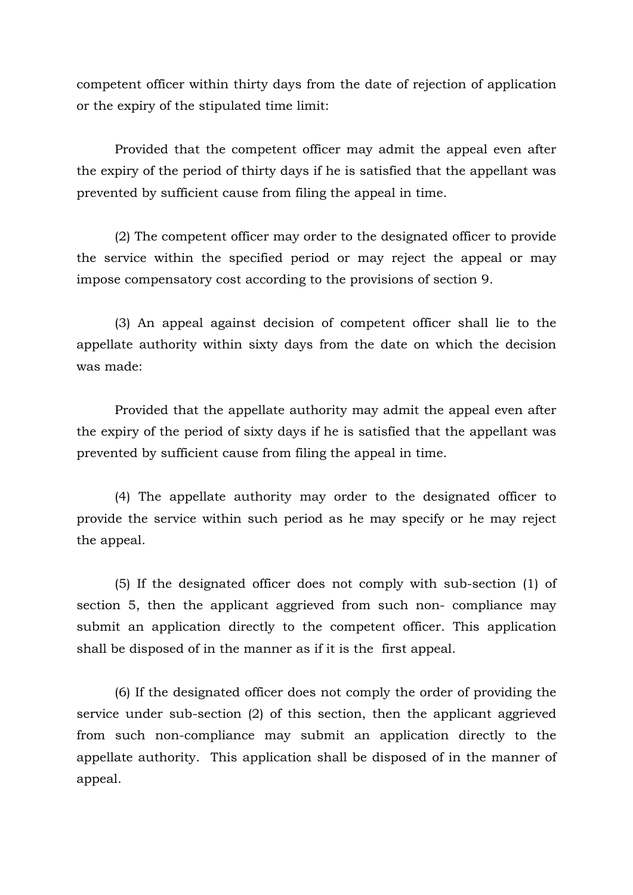competent officer within thirty days from the date of rejection of application or the expiry of the stipulated time limit:

Provided that the competent officer may admit the appeal even after the expiry of the period of thirty days if he is satisfied that the appellant was prevented by sufficient cause from filing the appeal in time.

(2) The competent officer may order to the designated officer to provide the service within the specified period or may reject the appeal or may impose compensatory cost according to the provisions of section 9.

(3) An appeal against decision of competent officer shall lie to the appellate authority within sixty days from the date on which the decision was made:

Provided that the appellate authority may admit the appeal even after the expiry of the period of sixty days if he is satisfied that the appellant was prevented by sufficient cause from filing the appeal in time.

(4) The appellate authority may order to the designated officer to provide the service within such period as he may specify or he may reject the appeal.

(5) If the designated officer does not comply with sub-section (1) of section 5, then the applicant aggrieved from such non- compliance may submit an application directly to the competent officer. This application shall be disposed of in the manner as if it is the first appeal.

(6) If the designated officer does not comply the order of providing the service under sub-section (2) of this section, then the applicant aggrieved from such non-compliance may submit an application directly to the appellate authority. This application shall be disposed of in the manner of appeal.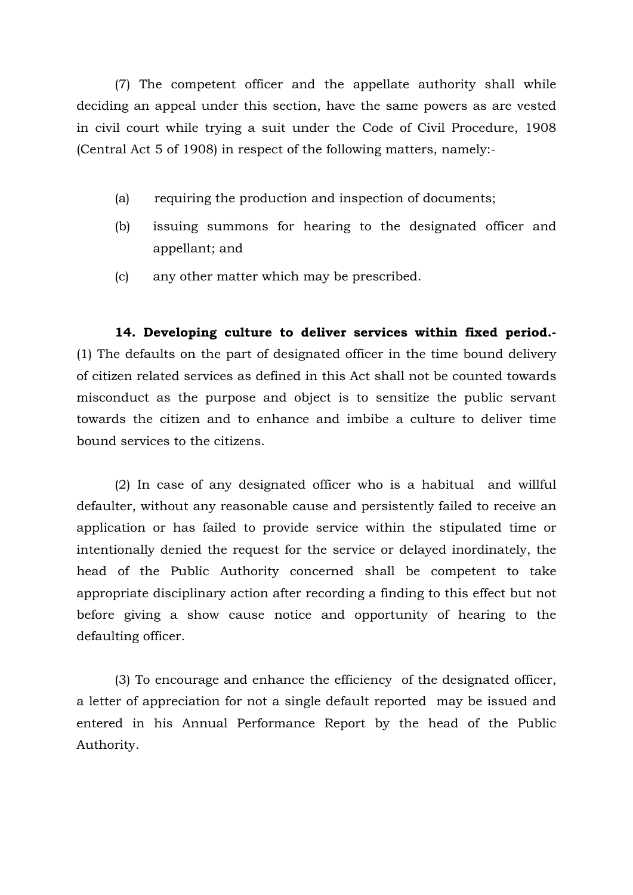(7) The competent officer and the appellate authority shall while deciding an appeal under this section, have the same powers as are vested in civil court while trying a suit under the Code of Civil Procedure, 1908 (Central Act 5 of 1908) in respect of the following matters, namely:-

- (a) requiring the production and inspection of documents;
- (b) issuing summons for hearing to the designated officer and appellant; and
- (c) any other matter which may be prescribed.

**14. Developing culture to deliver services within fixed period.-**  (1) The defaults on the part of designated officer in the time bound delivery of citizen related services as defined in this Act shall not be counted towards misconduct as the purpose and object is to sensitize the public servant towards the citizen and to enhance and imbibe a culture to deliver time bound services to the citizens.

 (2) In case of any designated officer who is a habitual and willful defaulter, without any reasonable cause and persistently failed to receive an application or has failed to provide service within the stipulated time or intentionally denied the request for the service or delayed inordinately, the head of the Public Authority concerned shall be competent to take appropriate disciplinary action after recording a finding to this effect but not before giving a show cause notice and opportunity of hearing to the defaulting officer.

 (3) To encourage and enhance the efficiency of the designated officer, a letter of appreciation for not a single default reported may be issued and entered in his Annual Performance Report by the head of the Public Authority.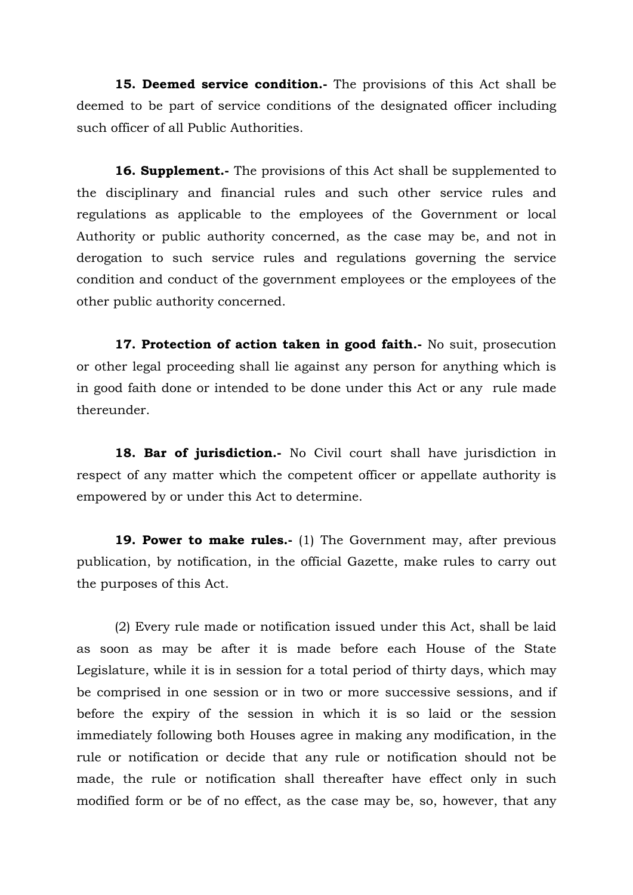**15. Deemed service condition.-** The provisions of this Act shall be deemed to be part of service conditions of the designated officer including such officer of all Public Authorities.

**16. Supplement.-** The provisions of this Act shall be supplemented to the disciplinary and financial rules and such other service rules and regulations as applicable to the employees of the Government or local Authority or public authority concerned, as the case may be, and not in derogation to such service rules and regulations governing the service condition and conduct of the government employees or the employees of the other public authority concerned.

**17. Protection of action taken in good faith.-** No suit, prosecution or other legal proceeding shall lie against any person for anything which is in good faith done or intended to be done under this Act or any rule made thereunder.

**18. Bar of jurisdiction.-** No Civil court shall have jurisdiction in respect of any matter which the competent officer or appellate authority is empowered by or under this Act to determine.

**19. Power to make rules.-** (1) The Government may, after previous publication, by notification, in the official Gazette, make rules to carry out the purposes of this Act.

 (2) Every rule made or notification issued under this Act, shall be laid as soon as may be after it is made before each House of the State Legislature, while it is in session for a total period of thirty days, which may be comprised in one session or in two or more successive sessions, and if before the expiry of the session in which it is so laid or the session immediately following both Houses agree in making any modification, in the rule or notification or decide that any rule or notification should not be made, the rule or notification shall thereafter have effect only in such modified form or be of no effect, as the case may be, so, however, that any